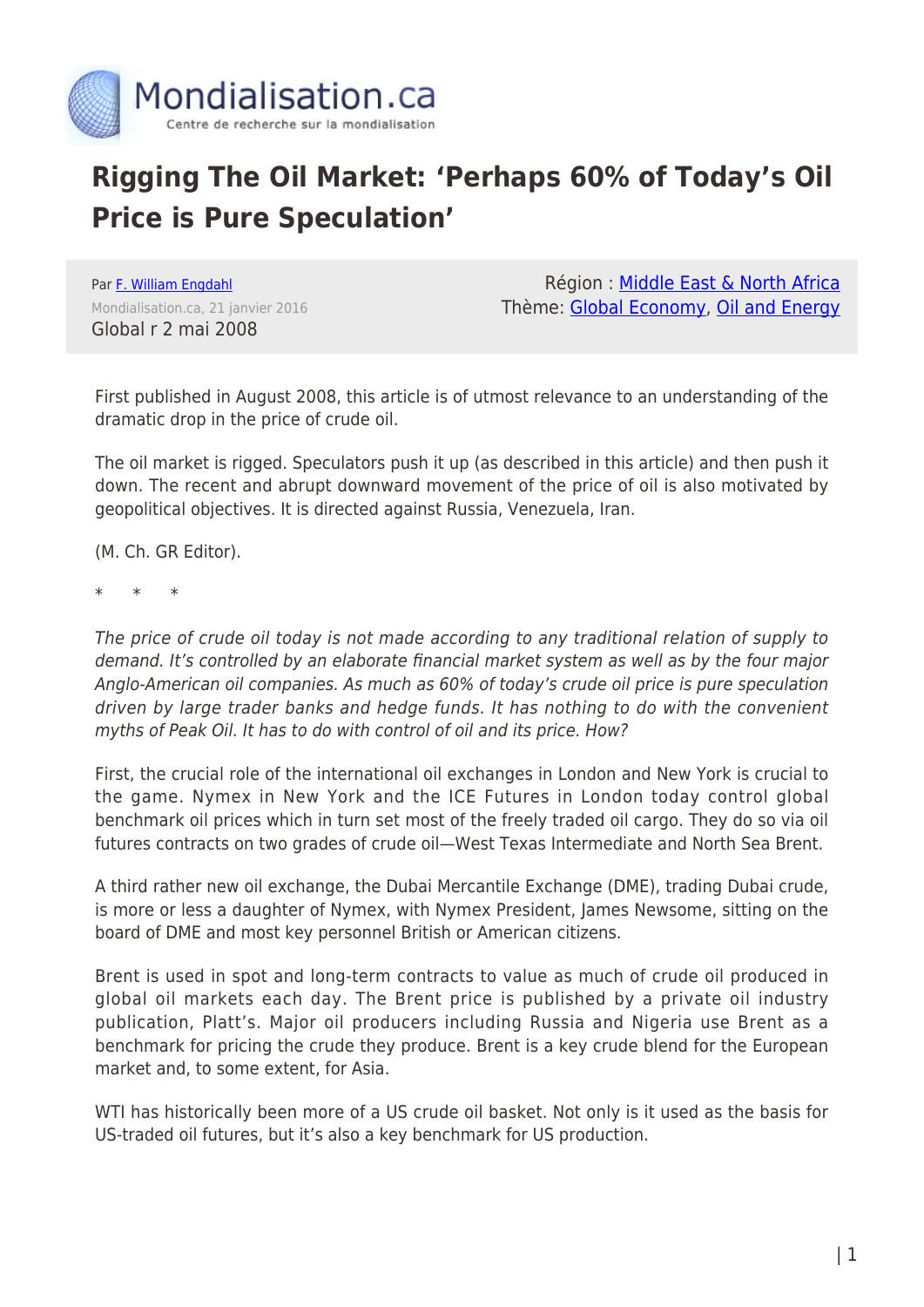

## **Rigging The Oil Market: 'Perhaps 60% of Today's Oil Price is Pure Speculation'**

Par [F. William Engdahl](https://www.mondialisation.ca/author/f-william-engdahl) Mondialisation.ca, 21 janvier 2016 Global r 2 mai 2008

Région : [Middle East & North Africa](https://www.mondialisation.ca/region/middle-east) Thème: [Global Economy](https://www.mondialisation.ca/theme/global-economy), [Oil and Energy](https://www.mondialisation.ca/theme/oil-and-energy)

First published in August 2008, this article is of utmost relevance to an understanding of the dramatic drop in the price of crude oil.

The oil market is rigged. Speculators push it up (as described in this article) and then push it down. The recent and abrupt downward movement of the price of oil is also motivated by geopolitical objectives. It is directed against Russia, Venezuela, Iran.

(M. Ch. GR Editor).

\* \* \*

The price of crude oil today is not made according to any traditional relation of supply to demand. It's controlled by an elaborate financial market system as well as by the four major Anglo-American oil companies. As much as 60% of today's crude oil price is pure speculation driven by large trader banks and hedge funds. It has nothing to do with the convenient myths of Peak Oil. It has to do with control of oil and its price. How?

First, the crucial role of the international oil exchanges in London and New York is crucial to the game. Nymex in New York and the ICE Futures in London today control global benchmark oil prices which in turn set most of the freely traded oil cargo. They do so via oil futures contracts on two grades of crude oil—West Texas Intermediate and North Sea Brent.

A third rather new oil exchange, the Dubai Mercantile Exchange (DME), trading Dubai crude, is more or less a daughter of Nymex, with Nymex President, James Newsome, sitting on the board of DME and most key personnel British or American citizens.

Brent is used in spot and long-term contracts to value as much of crude oil produced in global oil markets each day. The Brent price is published by a private oil industry publication, Platt's. Major oil producers including Russia and Nigeria use Brent as a benchmark for pricing the crude they produce. Brent is a key crude blend for the European market and, to some extent, for Asia.

WTI has historically been more of a US crude oil basket. Not only is it used as the basis for US-traded oil futures, but it's also a key benchmark for US production.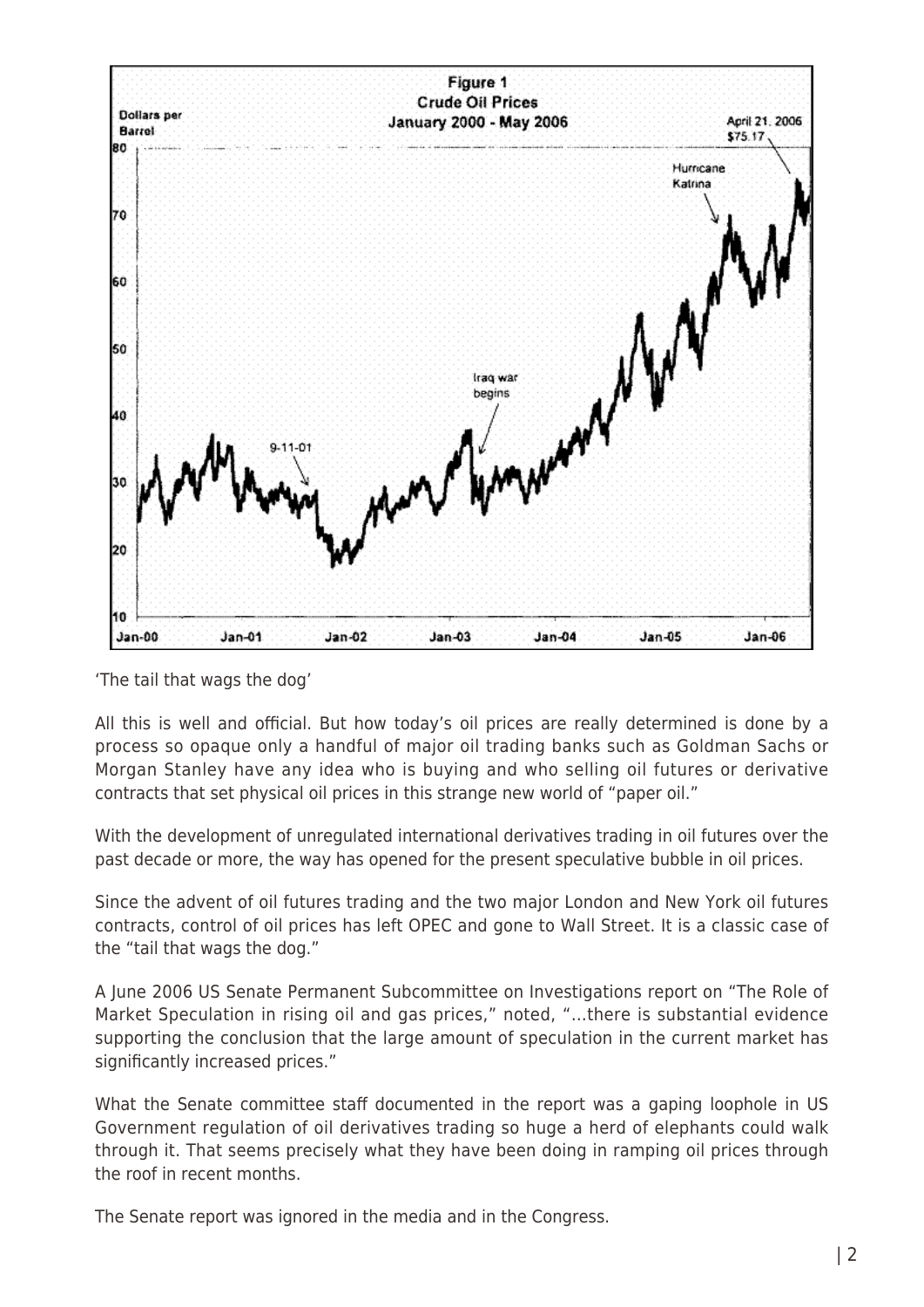

'The tail that wags the dog'

All this is well and official. But how today's oil prices are really determined is done by a process so opaque only a handful of major oil trading banks such as Goldman Sachs or Morgan Stanley have any idea who is buying and who selling oil futures or derivative contracts that set physical oil prices in this strange new world of "paper oil."

With the development of unregulated international derivatives trading in oil futures over the past decade or more, the way has opened for the present speculative bubble in oil prices.

Since the advent of oil futures trading and the two major London and New York oil futures contracts, control of oil prices has left OPEC and gone to Wall Street. It is a classic case of the "tail that wags the dog."

A June 2006 US Senate Permanent Subcommittee on Investigations report on "The Role of Market Speculation in rising oil and gas prices," noted, "…there is substantial evidence supporting the conclusion that the large amount of speculation in the current market has significantly increased prices."

What the Senate committee staff documented in the report was a gaping loophole in US Government regulation of oil derivatives trading so huge a herd of elephants could walk through it. That seems precisely what they have been doing in ramping oil prices through the roof in recent months.

The Senate report was ignored in the media and in the Congress.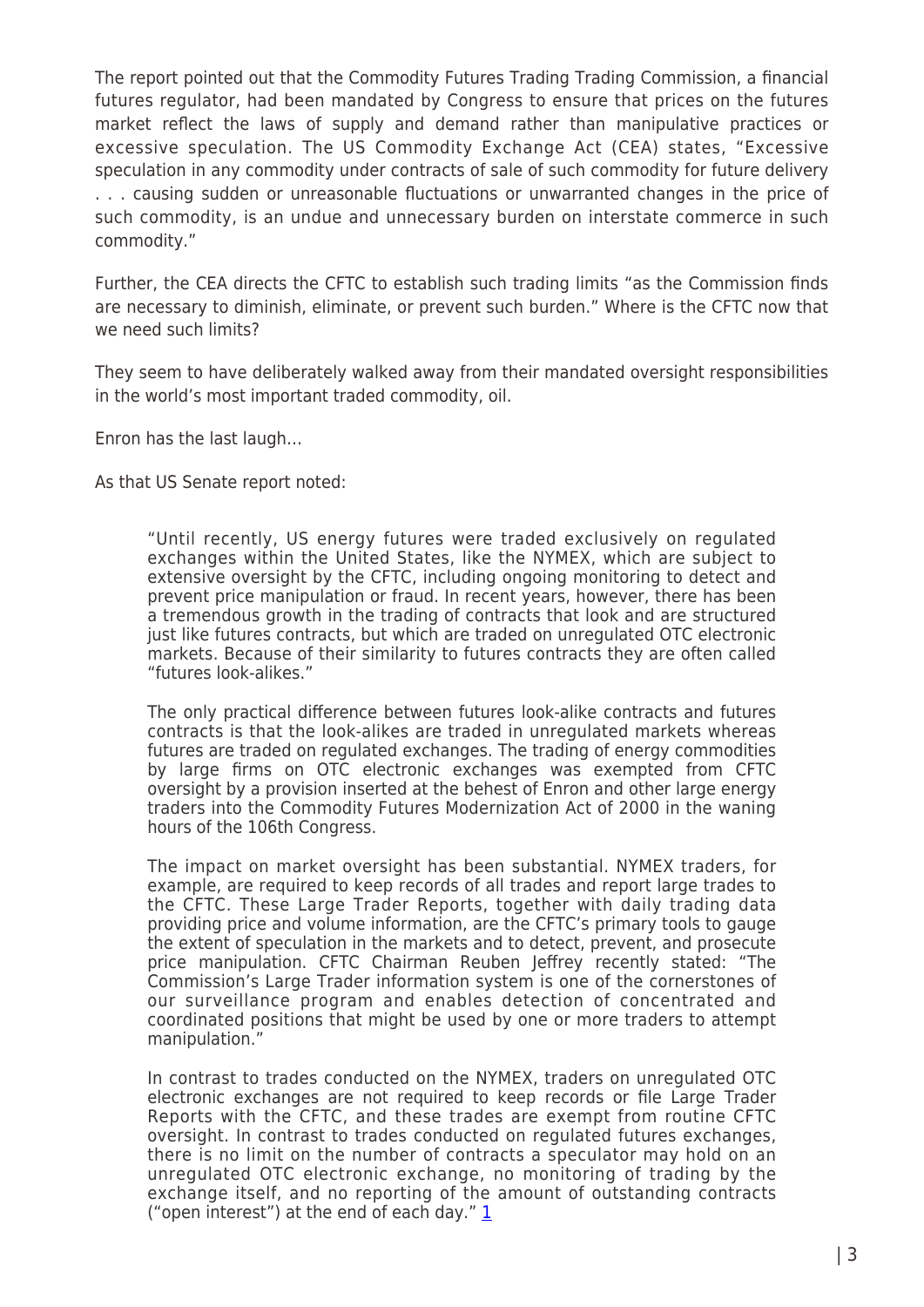The report pointed out that the Commodity Futures Trading Trading Commission, a financial futures regulator, had been mandated by Congress to ensure that prices on the futures market reflect the laws of supply and demand rather than manipulative practices or excessive speculation. The US Commodity Exchange Act (CEA) states, "Excessive speculation in any commodity under contracts of sale of such commodity for future delivery . . . causing sudden or unreasonable fluctuations or unwarranted changes in the price of such commodity, is an undue and unnecessary burden on interstate commerce in such commodity."

Further, the CEA directs the CFTC to establish such trading limits "as the Commission finds are necessary to diminish, eliminate, or prevent such burden." Where is the CFTC now that we need such limits?

They seem to have deliberately walked away from their mandated oversight responsibilities in the world's most important traded commodity, oil.

Enron has the last laugh…

As that US Senate report noted:

"Until recently, US energy futures were traded exclusively on regulated exchanges within the United States, like the NYMEX, which are subject to extensive oversight by the CFTC, including ongoing monitoring to detect and prevent price manipulation or fraud. In recent years, however, there has been a tremendous growth in the trading of contracts that look and are structured just like futures contracts, but which are traded on unregulated OTC electronic markets. Because of their similarity to futures contracts they are often called "futures look-alikes."

The only practical difference between futures look-alike contracts and futures contracts is that the look-alikes are traded in unregulated markets whereas futures are traded on regulated exchanges. The trading of energy commodities by large firms on OTC electronic exchanges was exempted from CFTC oversight by a provision inserted at the behest of Enron and other large energy traders into the Commodity Futures Modernization Act of 2000 in the waning hours of the 106th Congress.

The impact on market oversight has been substantial. NYMEX traders, for example, are required to keep records of all trades and report large trades to the CFTC. These Large Trader Reports, together with daily trading data providing price and volume information, are the CFTC's primary tools to gauge the extent of speculation in the markets and to detect, prevent, and prosecute price manipulation. CFTC Chairman Reuben Jeffrey recently stated: "The Commission's Large Trader information system is one of the cornerstones of our surveillance program and enables detection of concentrated and coordinated positions that might be used by one or more traders to attempt manipulation."

In contrast to trades conducted on the NYMEX, traders on unregulated OTC electronic exchanges are not required to keep records or file Large Trader Reports with the CFTC, and these trades are exempt from routine CFTC oversight. In contrast to trades conducted on regulated futures exchanges, there is no limit on the number of contracts a speculator may hold on an unregulated OTC electronic exchange, no monitoring of trading by the exchange itself, and no reporting of the amount of outstanding contracts ("open interest") at the end of each day."  $\frac{1}{2}$  $\frac{1}{2}$  $\frac{1}{2}$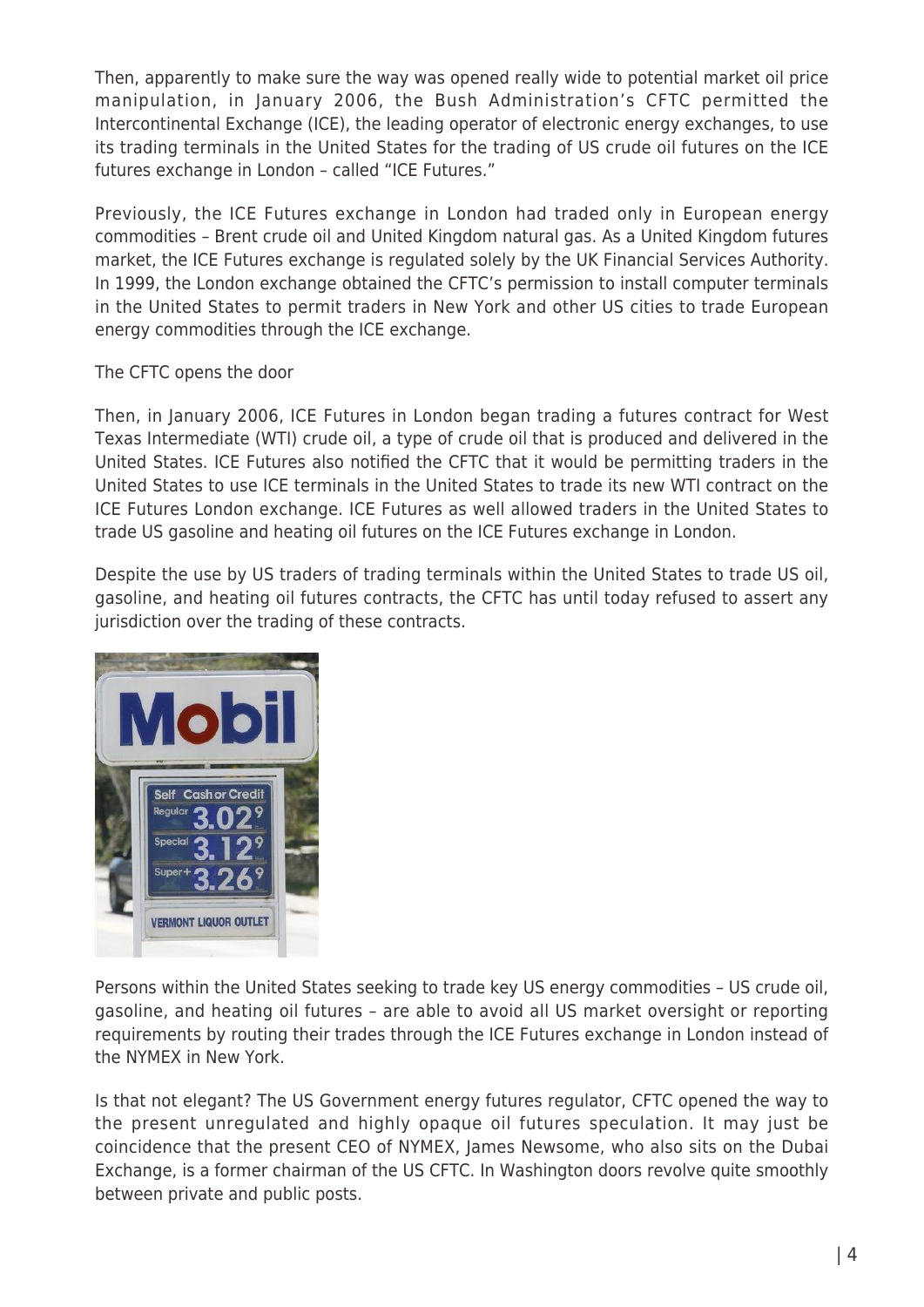Then, apparently to make sure the way was opened really wide to potential market oil price manipulation, in January 2006, the Bush Administration's CFTC permitted the Intercontinental Exchange (ICE), the leading operator of electronic energy exchanges, to use its trading terminals in the United States for the trading of US crude oil futures on the ICE futures exchange in London – called "ICE Futures."

Previously, the ICE Futures exchange in London had traded only in European energy commodities – Brent crude oil and United Kingdom natural gas. As a United Kingdom futures market, the ICE Futures exchange is regulated solely by the UK Financial Services Authority. In 1999, the London exchange obtained the CFTC's permission to install computer terminals in the United States to permit traders in New York and other US cities to trade European energy commodities through the ICE exchange.

### The CFTC opens the door

Then, in January 2006, ICE Futures in London began trading a futures contract for West Texas Intermediate (WTI) crude oil, a type of crude oil that is produced and delivered in the United States. ICE Futures also notified the CFTC that it would be permitting traders in the United States to use ICE terminals in the United States to trade its new WTI contract on the ICE Futures London exchange. ICE Futures as well allowed traders in the United States to trade US gasoline and heating oil futures on the ICE Futures exchange in London.

Despite the use by US traders of trading terminals within the United States to trade US oil, gasoline, and heating oil futures contracts, the CFTC has until today refused to assert any jurisdiction over the trading of these contracts.



Persons within the United States seeking to trade key US energy commodities – US crude oil, gasoline, and heating oil futures – are able to avoid all US market oversight or reporting requirements by routing their trades through the ICE Futures exchange in London instead of the NYMEX in New York.

Is that not elegant? The US Government energy futures regulator, CFTC opened the way to the present unregulated and highly opaque oil futures speculation. It may just be coincidence that the present CEO of NYMEX, James Newsome, who also sits on the Dubai Exchange, is a former chairman of the US CFTC. In Washington doors revolve quite smoothly between private and public posts.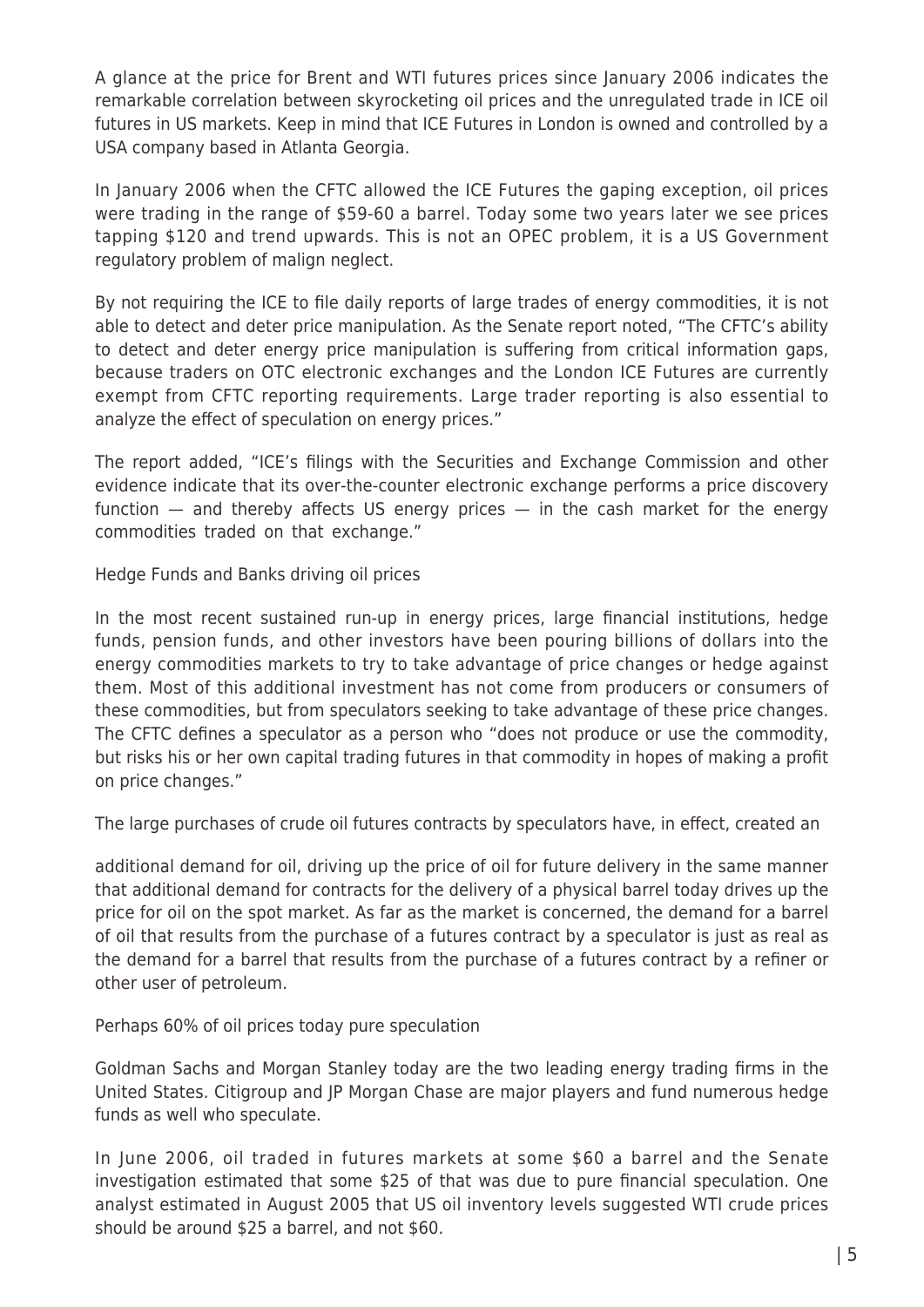A glance at the price for Brent and WTI futures prices since January 2006 indicates the remarkable correlation between skyrocketing oil prices and the unregulated trade in ICE oil futures in US markets. Keep in mind that ICE Futures in London is owned and controlled by a USA company based in Atlanta Georgia.

In January 2006 when the CFTC allowed the ICE Futures the gaping exception, oil prices were trading in the range of \$59-60 a barrel. Today some two years later we see prices tapping \$120 and trend upwards. This is not an OPEC problem, it is a US Government regulatory problem of malign neglect.

By not requiring the ICE to file daily reports of large trades of energy commodities, it is not able to detect and deter price manipulation. As the Senate report noted, "The CFTC's ability to detect and deter energy price manipulation is suffering from critical information gaps, because traders on OTC electronic exchanges and the London ICE Futures are currently exempt from CFTC reporting requirements. Large trader reporting is also essential to analyze the effect of speculation on energy prices."

The report added, "ICE's filings with the Securities and Exchange Commission and other evidence indicate that its over-the-counter electronic exchange performs a price discovery function  $-$  and thereby affects US energy prices  $-$  in the cash market for the energy commodities traded on that exchange."

Hedge Funds and Banks driving oil prices

In the most recent sustained run-up in energy prices, large financial institutions, hedge funds, pension funds, and other investors have been pouring billions of dollars into the energy commodities markets to try to take advantage of price changes or hedge against them. Most of this additional investment has not come from producers or consumers of these commodities, but from speculators seeking to take advantage of these price changes. The CFTC defines a speculator as a person who "does not produce or use the commodity, but risks his or her own capital trading futures in that commodity in hopes of making a profit on price changes."

The large purchases of crude oil futures contracts by speculators have, in effect, created an

additional demand for oil, driving up the price of oil for future delivery in the same manner that additional demand for contracts for the delivery of a physical barrel today drives up the price for oil on the spot market. As far as the market is concerned, the demand for a barrel of oil that results from the purchase of a futures contract by a speculator is just as real as the demand for a barrel that results from the purchase of a futures contract by a refiner or other user of petroleum.

Perhaps 60% of oil prices today pure speculation

Goldman Sachs and Morgan Stanley today are the two leading energy trading firms in the United States. Citigroup and JP Morgan Chase are major players and fund numerous hedge funds as well who speculate.

In June 2006, oil traded in futures markets at some \$60 a barrel and the Senate investigation estimated that some \$25 of that was due to pure financial speculation. One analyst estimated in August 2005 that US oil inventory levels suggested WTI crude prices should be around \$25 a barrel, and not \$60.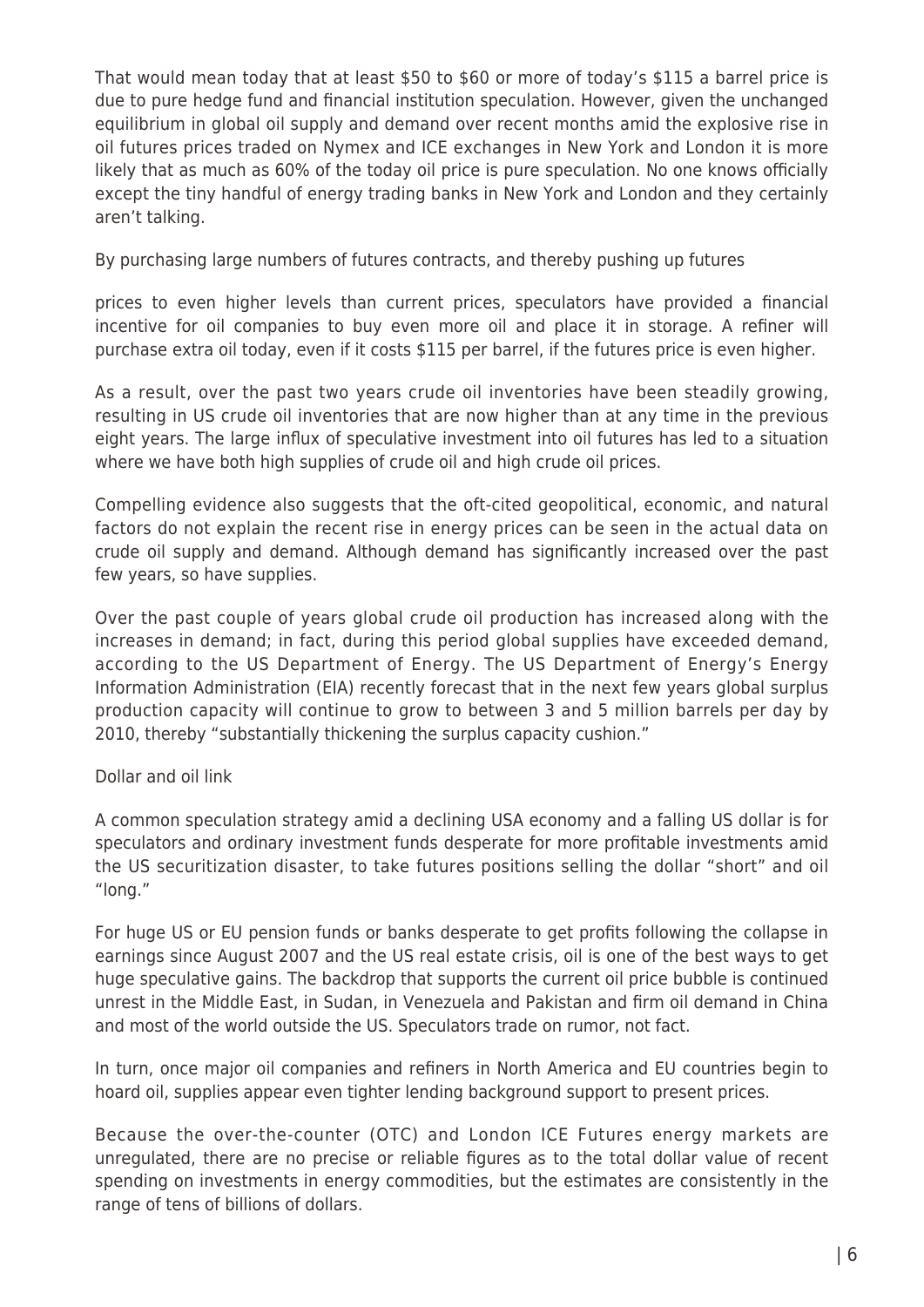That would mean today that at least \$50 to \$60 or more of today's \$115 a barrel price is due to pure hedge fund and financial institution speculation. However, given the unchanged equilibrium in global oil supply and demand over recent months amid the explosive rise in oil futures prices traded on Nymex and ICE exchanges in New York and London it is more likely that as much as 60% of the today oil price is pure speculation. No one knows officially except the tiny handful of energy trading banks in New York and London and they certainly aren't talking.

By purchasing large numbers of futures contracts, and thereby pushing up futures

prices to even higher levels than current prices, speculators have provided a financial incentive for oil companies to buy even more oil and place it in storage. A refiner will purchase extra oil today, even if it costs \$115 per barrel, if the futures price is even higher.

As a result, over the past two years crude oil inventories have been steadily growing, resulting in US crude oil inventories that are now higher than at any time in the previous eight years. The large influx of speculative investment into oil futures has led to a situation where we have both high supplies of crude oil and high crude oil prices.

Compelling evidence also suggests that the oft-cited geopolitical, economic, and natural factors do not explain the recent rise in energy prices can be seen in the actual data on crude oil supply and demand. Although demand has significantly increased over the past few years, so have supplies.

Over the past couple of years global crude oil production has increased along with the increases in demand; in fact, during this period global supplies have exceeded demand, according to the US Department of Energy. The US Department of Energy's Energy Information Administration (EIA) recently forecast that in the next few years global surplus production capacity will continue to grow to between 3 and 5 million barrels per day by 2010, thereby "substantially thickening the surplus capacity cushion."

#### Dollar and oil link

A common speculation strategy amid a declining USA economy and a falling US dollar is for speculators and ordinary investment funds desperate for more profitable investments amid the US securitization disaster, to take futures positions selling the dollar "short" and oil "long."

For huge US or EU pension funds or banks desperate to get profits following the collapse in earnings since August 2007 and the US real estate crisis, oil is one of the best ways to get huge speculative gains. The backdrop that supports the current oil price bubble is continued unrest in the Middle East, in Sudan, in Venezuela and Pakistan and firm oil demand in China and most of the world outside the US. Speculators trade on rumor, not fact.

In turn, once major oil companies and refiners in North America and EU countries begin to hoard oil, supplies appear even tighter lending background support to present prices.

Because the over-the-counter (OTC) and London ICE Futures energy markets are unregulated, there are no precise or reliable figures as to the total dollar value of recent spending on investments in energy commodities, but the estimates are consistently in the range of tens of billions of dollars.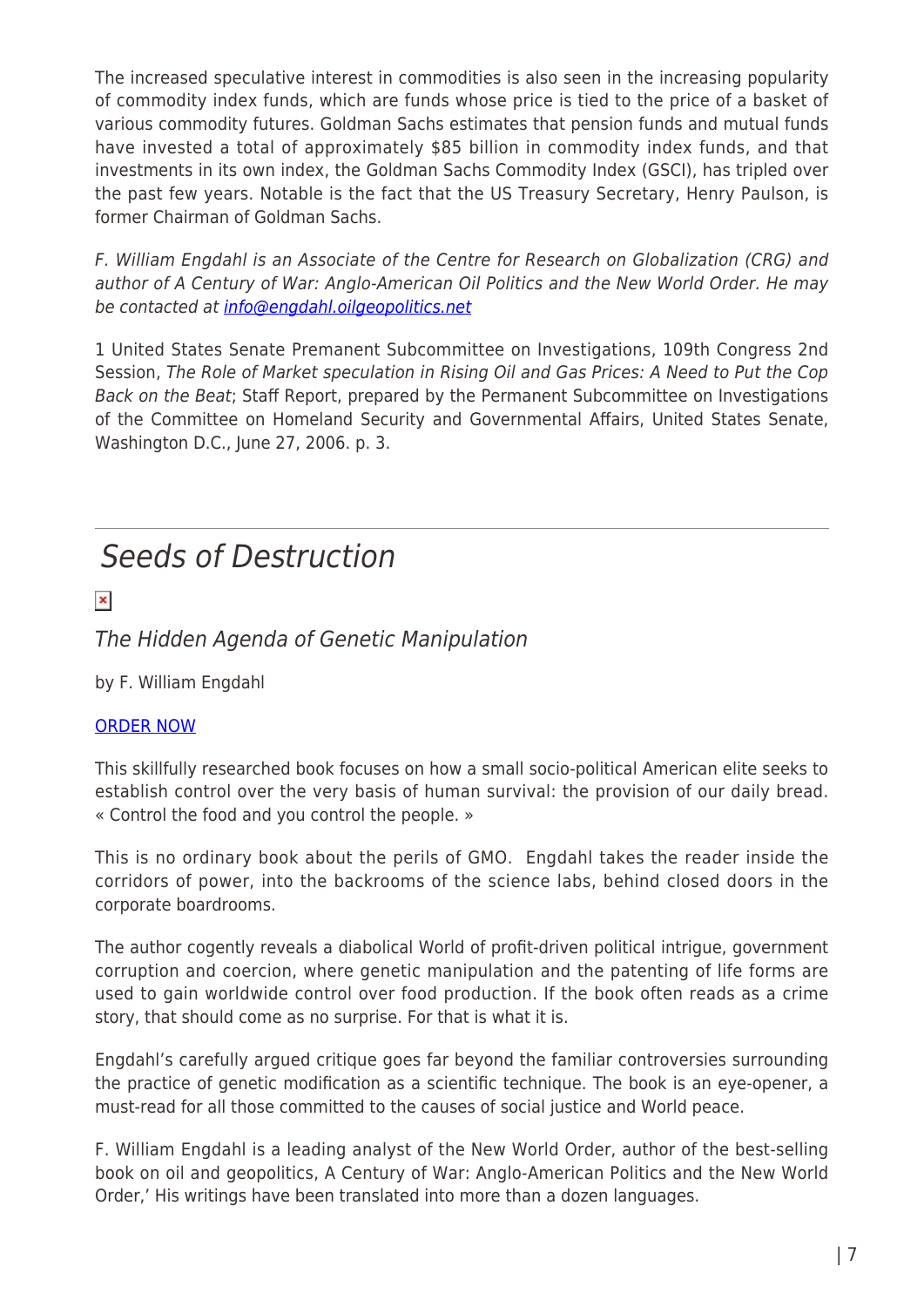The increased speculative interest in commodities is also seen in the increasing popularity of commodity index funds, which are funds whose price is tied to the price of a basket of various commodity futures. Goldman Sachs estimates that pension funds and mutual funds have invested a total of approximately \$85 billion in commodity index funds, and that investments in its own index, the Goldman Sachs Commodity Index (GSCI), has tripled over the past few years. Notable is the fact that the US Treasury Secretary, Henry Paulson, is former Chairman of Goldman Sachs.

F. William Engdahl is an Associate of the Centre for Research on Globalization (CRG) and author of A Century of War: Anglo-American Oil Politics and the New World Order. He may be contacted at [info@engdahl.oilgeopolitics.net](http://us.f537.mail.yahoo.com/ym/Compose?To=info@engdahl.oilgeopolitics.net)

1 United States Senate Premanent Subcommittee on Investigations, 109th Congress 2nd Session, The Role of Market speculation in Rising Oil and Gas Prices: A Need to Put the Cop Back on the Beat; Staff Report, prepared by the Permanent Subcommittee on Investigations of the Committee on Homeland Security and Governmental Affairs, United States Senate, Washington D.C., June 27, 2006. p. 3.

# Seeds of Destruction

### $\pmb{\times}$

The Hidden Agenda of Genetic Manipulation

by F. William Engdahl

### [ORDER NOW](https://store.globalresearch.ca/store/seeds-of-destruction/)

This skillfully researched book focuses on how a small socio-political American elite seeks to establish control over the very basis of human survival: the provision of our daily bread. « Control the food and you control the people. »

This is no ordinary book about the perils of GMO. Engdahl takes the reader inside the corridors of power, into the backrooms of the science labs, behind closed doors in the corporate boardrooms.

The author cogently reveals a diabolical World of profit-driven political intrigue, government corruption and coercion, where genetic manipulation and the patenting of life forms are used to gain worldwide control over food production. If the book often reads as a crime story, that should come as no surprise. For that is what it is.

Engdahl's carefully argued critique goes far beyond the familiar controversies surrounding the practice of genetic modification as a scientific technique. The book is an eye-opener, a must-read for all those committed to the causes of social justice and World peace.

F. William Engdahl is a leading analyst of the New World Order, author of the best-selling book on oil and geopolitics, A Century of War: Anglo-American Politics and the New World Order,' His writings have been translated into more than a dozen languages.